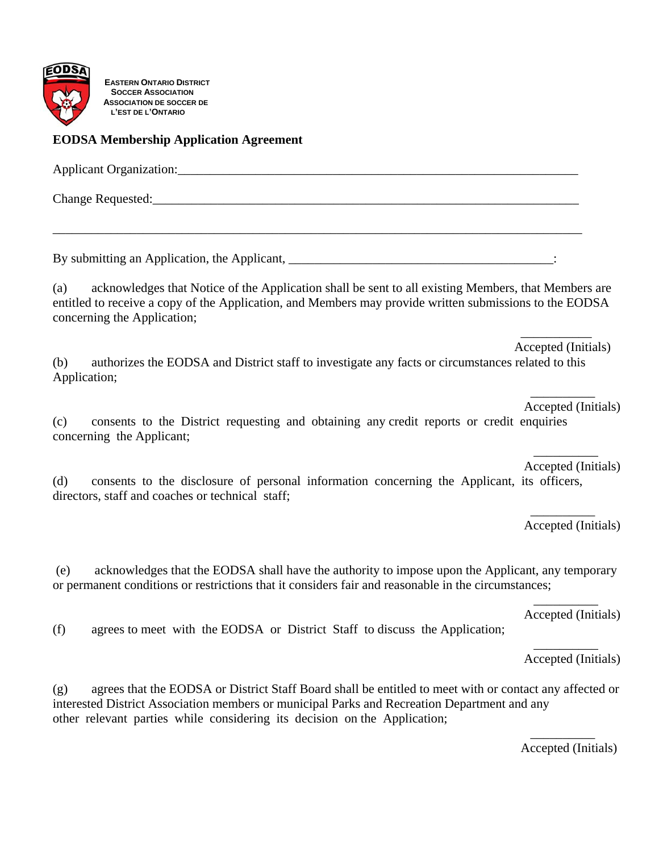

**EASTERN ONTARIO DISTRICT SOCCER ASSOCIATION ASSOCIATION DE SOCCER DE L'EST DE L'ONTARIO**

## **EODSA Membership Application Agreement**

directors, staff and coaches or technical staff;

Applicant Organization:

\_\_\_\_\_\_\_\_\_\_\_\_\_\_\_\_\_\_\_\_\_\_\_\_\_\_\_\_\_\_\_\_\_\_\_\_\_\_\_\_\_\_\_\_\_\_\_\_\_\_\_\_\_\_\_\_\_\_\_\_\_\_\_\_\_\_\_\_\_\_\_\_\_\_\_\_\_\_\_\_\_\_

Change Requested:

By submitting an Application, the Applicant, \_\_\_\_\_\_\_\_\_\_\_\_\_\_\_\_\_\_\_\_\_\_\_\_\_\_\_\_\_\_:

(a) acknowledges that Notice of the Application shall be sent to all existing Members, that Members are entitled to receive a copy of the Application, and Members may provide written submissions to the EODSA concerning the Application;

Accepted (Initials)

(b) authorizes the EODSA and District staff to investigate any facts or circumstances related to this Application;

 $\mathcal{L}_\mathcal{L}$  , which is a set of the set of the set of the set of the set of the set of the set of the set of the set of the set of the set of the set of the set of the set of the set of the set of the set of the set of

 $\mathcal{L}_\mathcal{L}$  , we can also the contract of the contract of the contract of the contract of the contract of the contract of the contract of the contract of the contract of the contract of the contract of the contract of Accepted (Initials)

(c) consents to the District requesting and obtaining any credit reports or credit enquiries concerning the Applicant;

 $\mathcal{L}_\mathcal{L}$  , which is a set of the set of the set of the set of the set of the set of the set of the set of the set of the set of the set of the set of the set of the set of the set of the set of the set of the set of Accepted (Initials) (d) consents to the disclosure of personal information concerning the Applicant, its officers,

Accepted (Initials)

 (e) acknowledges that the EODSA shall have the authority to impose upon the Applicant, any temporary or permanent conditions or restrictions that it considers fair and reasonable in the circumstances;

 $\mathcal{L}_\mathcal{L}$  , which is a set of the set of the set of the set of the set of the set of the set of the set of the set of the set of the set of the set of the set of the set of the set of the set of the set of the set of

 $\mathcal{L}_\mathcal{L}$  , we can also the contract of the contract of the contract of the contract of the contract of the contract of the contract of the contract of the contract of the contract of the contract of the contract of

Accepted (Initials)

(f) agrees to meet with the EODSA or District Staff to discuss the Application;

Accepted (Initials)

 $\overline{\phantom{a}}$  , and the contract of  $\overline{\phantom{a}}$ 

(g) agrees that the EODSA or District Staff Board shall be entitled to meet with or contact any affected or interested District Association members or municipal Parks and Recreation Department and any other relevant parties while considering its decision on the Application;

 $\mathcal{L}_\mathcal{L}$  , we can also the contract of the contract of the contract of the contract of the contract of the contract of the contract of the contract of the contract of the contract of the contract of the contract of

Accepted (Initials)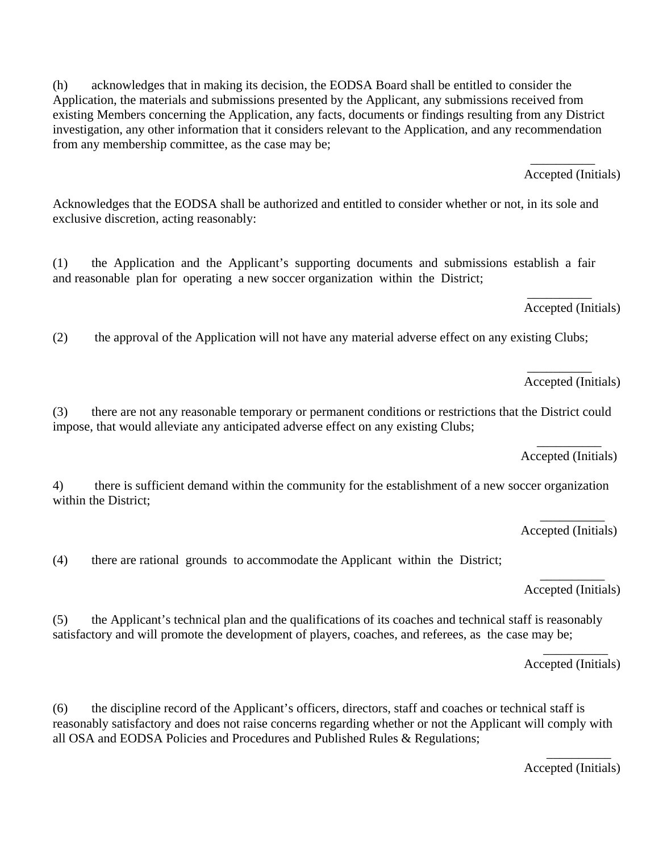Application, the materials and submissions presented by the Applicant, any submissions received from existing Members concerning the Application, any facts, documents or findings resulting from any District investigation, any other information that it considers relevant to the Application, and any recommendation from any membership committee, as the case may be;  $\mathcal{L}_\mathcal{L}$  , we can also the contract of the contract of the contract of the contract of the contract of the contract of the contract of the contract of the contract of the contract of the contract of the contract of Accepted (Initials)

Acknowledges that the EODSA shall be authorized and entitled to consider whether or not, in its sole and exclusive discretion, acting reasonably:

(h) acknowledges that in making its decision, the EODSA Board shall be entitled to consider the

(1) the Application and the Applicant's supporting documents and submissions establish a fair and reasonable plan for operating a new soccer organization within the District;  $\mathcal{L}_\mathcal{L}$  , which is a set of the set of the set of the set of the set of the set of the set of the set of the set of the set of the set of the set of the set of the set of the set of the set of the set of the set of

Accepted (Initials)

(2) the approval of the Application will not have any material adverse effect on any existing Clubs;

 $\frac{1}{2}$  , and the set of  $\frac{1}{2}$  , and the set of  $\frac{1}{2}$ Accepted (Initials)

(3) there are not any reasonable temporary or permanent conditions or restrictions that the District could impose, that would alleviate any anticipated adverse effect on any existing Clubs;

 $\mathcal{L}_\mathcal{L}$  , which is a set of the set of the set of the set of the set of the set of the set of the set of the set of the set of the set of the set of the set of the set of the set of the set of the set of the set of Accepted (Initials)

4) there is sufficient demand within the community for the establishment of a new soccer organization within the District;

 $\mathcal{L}_\mathcal{L}$  , we can also assume that the contract of the contract of the contract of the contract of the contract of the contract of the contract of the contract of the contract of the contract of the contract of the Accepted (Initials)

(4) there are rational grounds to accommodate the Applicant within the District;

 $\mathcal{L}_\mathcal{L}$  , we can also the contract of the contract of the contract of the contract of the contract of the contract of the contract of the contract of the contract of the contract of the contract of the contract of Accepted (Initials)

(5) the Applicant's technical plan and the qualifications of its coaches and technical staff is reasonably satisfactory and will promote the development of players, coaches, and referees, as the case may be;

 $\mathcal{L}_\mathcal{L}$  , which is a set of the set of the set of the set of the set of the set of the set of the set of the set of the set of the set of the set of the set of the set of the set of the set of the set of the set of Accepted (Initials)

(6) the discipline record of the Applicant's officers, directors, staff and coaches or technical staff is reasonably satisfactory and does not raise concerns regarding whether or not the Applicant will comply with all OSA and EODSA Policies and Procedures and Published Rules & Regulations;

 $\mathcal{L}_\mathcal{L}$  , we can also assume that the contract of  $\mathcal{L}_\mathcal{L}$  , we can also assume that the contract of  $\mathcal{L}_\mathcal{L}$ Accepted (Initials)